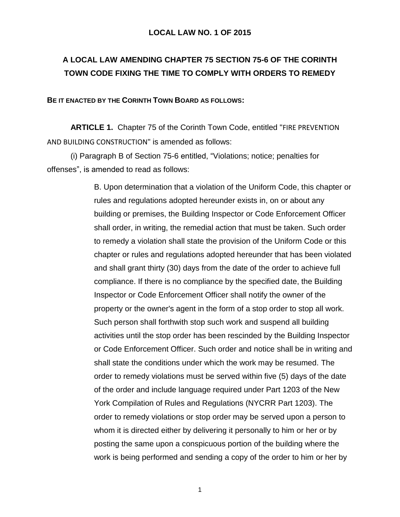## **LOCAL LAW NO. 1 OF 2015**

## **A LOCAL LAW AMENDING CHAPTER 75 SECTION 75-6 OF THE CORINTH TOWN CODE FIXING THE TIME TO COMPLY WITH ORDERS TO REMEDY**

## **BE IT ENACTED BY THE CORINTH TOWN BOARD AS FOLLOWS:**

**ARTICLE 1.** Chapter 75 of the Corinth Town Code, entitled "FIRE PREVENTION AND BUILDING CONSTRUCTION" is amended as follows:

(i) Paragraph B of Section 75-6 entitled, "Violations; notice; penalties for offenses", is amended to read as follows:

> B. Upon determination that a violation of the Uniform Code, this chapter or rules and regulations adopted hereunder exists in, on or about any building or premises, the Building Inspector or Code Enforcement Officer shall order, in writing, the remedial action that must be taken. Such order to remedy a violation shall state the provision of the Uniform Code or this chapter or rules and regulations adopted hereunder that has been violated and shall grant thirty (30) days from the date of the order to achieve full compliance. If there is no compliance by the specified date, the Building Inspector or Code Enforcement Officer shall notify the owner of the property or the owner's agent in the form of a stop order to stop all work. Such person shall forthwith stop such work and suspend all building activities until the stop order has been rescinded by the Building Inspector or Code Enforcement Officer. Such order and notice shall be in writing and shall state the conditions under which the work may be resumed. The order to remedy violations must be served within five (5) days of the date of the order and include language required under Part 1203 of the New York Compilation of Rules and Regulations (NYCRR Part 1203). The order to remedy violations or stop order may be served upon a person to whom it is directed either by delivering it personally to him or her or by posting the same upon a conspicuous portion of the building where the work is being performed and sending a copy of the order to him or her by

> > 1